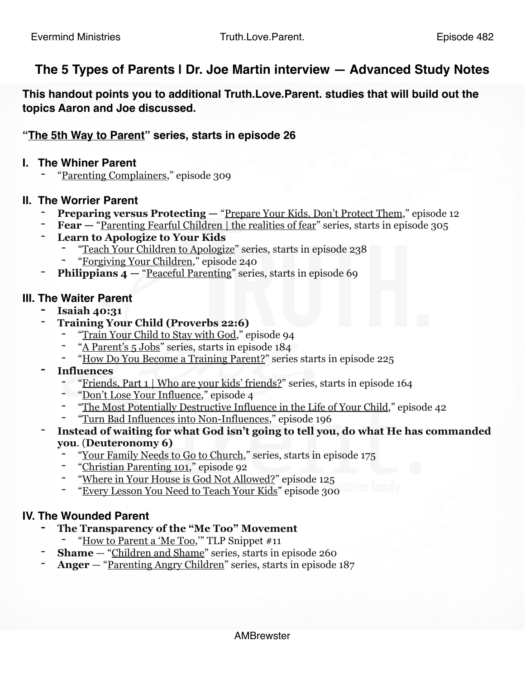# **The 5 Types of Parents | Dr. Joe Martin interview — Advanced Study Notes**

**This handout points you to additional Truth.Love.Parent. studies that will build out the topics Aaron and Joe discussed.**

# **"[The 5th Way to Parent"](https://www.truthloveparent.com/the-5th-way-to-parent-series.html) series, starts in episode 26**

### **I. The Whiner Parent**

"[Parenting Complainers](https://www.truthloveparent.com/parenting-complainers.html)," episode 309

### **II. The Worrier Parent**

- **Preparing versus Protecting —** "<u>Prepare Your Kids. Don't Protect Them,</u>" episode 12
- **Fear —** ["Parenting Fearful Children | the realities of fear"](https://www.truthloveparent.com/parenting-fearful-children.html) series, starts in episode 305
- **Learn to Apologize to Your Kids**
	- "[Teach Your Children to Apologize"](https://www.truthloveparent.com/teach-your-children-to-apologize.html) series, starts in episode 238
	- "[Forgiving Your Children,](https://www.truthloveparent.com/taking-back-the-family-blog/tlp-240-forgiving-your-children)" episode 240
- **Philippians 4 "[Peaceful Parenting](https://www.truthloveparent.com/peaceful-parenting-series.html)" series, starts in episode 69**

## **III. The Waiter Parent**

- **- Isaiah 40:31**
- **Training Your Child (Proverbs 22:6)**
	- "[Train Your Child to Stay with God,](https://www.truthloveparent.com/taking-back-the-family-blog/tlp-94-how-to-train-your-child-to-stay-with-god)" episode 94
	- "[A Parent's 5 Jobs"](https://www.truthloveparent.com/a-parents-5-jobs-series.html) series, starts in episode 184
	- "[How Do You Become a Training Parent?](https://www.truthloveparent.com/how-to-become-series.html)" series starts in episode 225
- **- Influences**
	- "[Friends, Part 1 | Who are your kids' friends?"](https://www.truthloveparent.com/friends-series.html) series, starts in episode 164
	- "[Don't Lose Your Influence,](https://www.truthloveparent.com/taking-back-the-family-blog/dont-lose-your-influence)" episode 4
	- "[The Most Potentially Destructive Influence in the Life of Your Child,](https://podcasts.apple.com/us/podcast/tlp-42-most-potentially-destructive-influence-in-life/id1157112237?i=1000413830527)" episode 42
	- "[Turn Bad Influences into Non-Influences,](https://www.truthloveparent.com/taking-back-the-family-blog/tlp-196-turn-bad-influences-into-non-influences)" episode 196
- **Instead of waiting for what God isn't going to tell you, do what He has commanded you**. (**Deuteronomy 6)**
	- "[Your Family Needs to Go to Church,](https://www.truthloveparent.com/your-family-needs-to-go-to-church-series.html)" series, starts in episode 175
	- "[Christian Parenting 101,](https://www.truthloveparent.com/taking-back-the-family-blog/tlp-92-christian-parenting-101)" episode 92
	- "[Where in Your House is God Not Allowed?](https://www.truthloveparent.com/taking-back-the-family-blog/tlp-125-where-in-your-house-is-god-not-allowed)" episode 125
	- "[Every Lesson You Need to Teach Your Kids"](https://www.truthloveparent.com/taking-back-the-family-blog/tlp-300-every-lesson-you-need-to-teach-your-kids) episode 300

## **IV. The Wounded Parent**

- **- The Transparency of the "Me Too" Movement**
	- "[How to Parent a 'Me Too,](https://podcasts.apple.com/us/podcast/a-tlp-snippet-11-how-to-parent-a-me-too/id1157112237?i=1000413830582)" TLP Snippet #11
- **Shame** ["Children and Shame](https://www.truthloveparent.com/children-shame-series.html)" series, starts in episode 260
- **Anger** ["Parenting Angry Children"](https://www.truthloveparent.com/parenting-angry-children.html) series, starts in episode 187